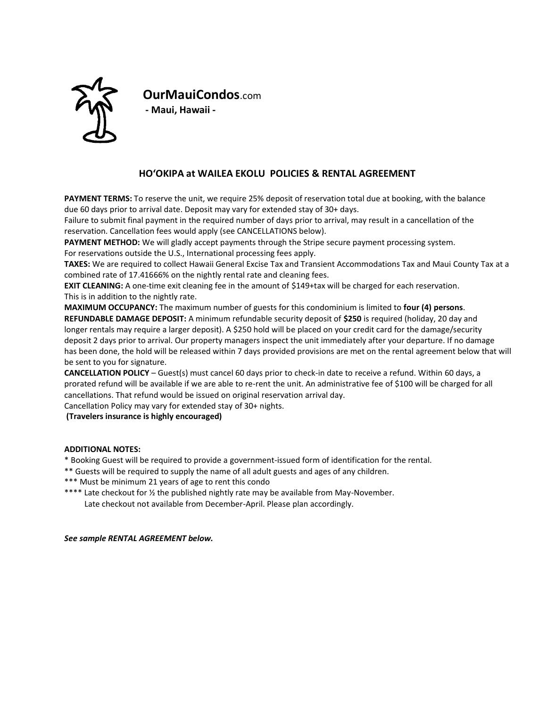

**OurMauiCondos**.com **- Maui, Hawaii -**

# **HOʻOKIPA at WAILEA EKOLU POLICIES & RENTAL AGREEMENT**

**PAYMENT TERMS:** To reserve the unit, we require 25% deposit of reservation total due at booking, with the balance due 60 days prior to arrival date. Deposit may vary for extended stay of 30+ days.

Failure to submit final payment in the required number of days prior to arrival, may result in a cancellation of the reservation. Cancellation fees would apply (see CANCELLATIONS below).

**PAYMENT METHOD:** We will gladly accept payments through the Stripe secure payment processing system.

For reservations outside the U.S., International processing fees apply.

**TAXES:** We are required to collect Hawaii General Excise Tax and Transient Accommodations Tax and Maui County Tax at a combined rate of 17.41666% on the nightly rental rate and cleaning fees.

**EXIT CLEANING:** A one-time exit cleaning fee in the amount of \$149+tax will be charged for each reservation. This is in addition to the nightly rate.

**MAXIMUM OCCUPANCY:** The maximum number of guests for this condominium is limited to **four (4) persons**. **REFUNDABLE DAMAGE DEPOSIT:** A minimum refundable security deposit of **\$250** is required (holiday, 20 day and longer rentals may require a larger deposit). A \$250 hold will be placed on your credit card for the damage/security deposit 2 days prior to arrival. Our property managers inspect the unit immediately after your departure. If no damage has been done, the hold will be released within 7 days provided provisions are met on the rental agreement below that will be sent to you for signature.

**CANCELLATION POLICY** – Guest(s) must cancel 60 days prior to check-in date to receive a refund. Within 60 days, a prorated refund will be available if we are able to re-rent the unit. An administrative fee of \$100 will be charged for all cancellations. That refund would be issued on original reservation arrival day.

Cancellation Policy may vary for extended stay of 30+ nights.

**(Travelers insurance is highly encouraged)**

## **ADDITIONAL NOTES:**

\* Booking Guest will be required to provide a government-issued form of identification for the rental.

\*\* Guests will be required to supply the name of all adult guests and ages of any children.

- \*\*\* Must be minimum 21 years of age to rent this condo
- \*\*\*\* Late checkout for ½ the published nightly rate may be available from May-November. Late checkout not available from December-April. Please plan accordingly.

*See sample RENTAL AGREEMENT below.*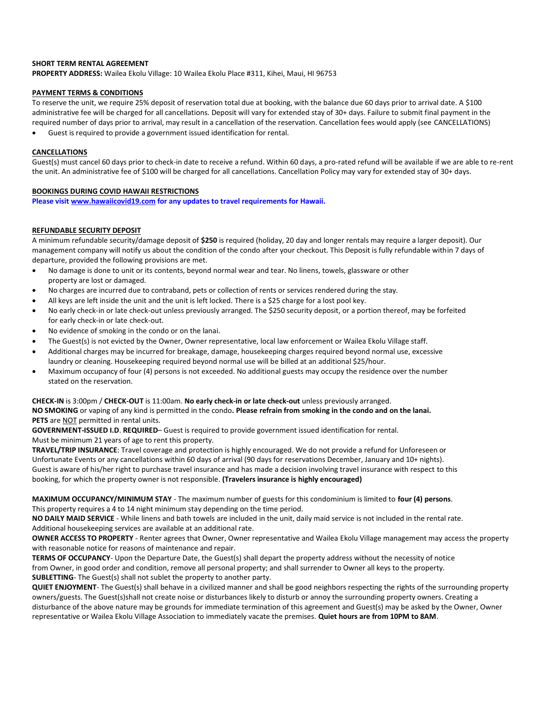### **SHORT TERM RENTAL AGREEMENT**

**PROPERTY ADDRESS:** Wailea Ekolu Village: 10 Wailea Ekolu Place #311, Kihei, Maui, HI 96753

### **PAYMENT TERMS & CONDITIONS**

To reserve the unit, we require 25% deposit of reservation total due at booking, with the balance due 60 days prior to arrival date. A \$100 administrative fee will be charged for all cancellations. Deposit will vary for extended stay of 30+ days. Failure to submit final payment in the required number of days prior to arrival, may result in a cancellation of the reservation. Cancellation fees would apply (see CANCELLATIONS)

• Guest is required to provide a government issued identification for rental.

### **CANCELLATIONS**

Guest(s) must cancel 60 days prior to check-in date to receive a refund. Within 60 days, a pro-rated refund will be available if we are able to re-rent the unit. An administrative fee of \$100 will be charged for all cancellations. Cancellation Policy may vary for extended stay of 30+ days.

### **BOOKINGS DURING COVID HAWAII RESTRICTIONS**

**Please visi[t www.hawaiicovid19.com](http://www.hawaiicovid19.com/) for any updates to travel requirements for Hawaii.**

### **REFUNDABLE SECURITY DEPOSIT**

A minimum refundable security/damage deposit of **\$250** is required (holiday, 20 day and longer rentals may require a larger deposit). Our management company will notify us about the condition of the condo after your checkout. This Deposit is fully refundable within 7 days of departure, provided the following provisions are met.

- No damage is done to unit or its contents, beyond normal wear and tear. No linens, towels, glassware or other property are lost or damaged.
- No charges are incurred due to contraband, pets or collection of rents or services rendered during the stay.
- All keys are left inside the unit and the unit is left locked. There is a \$25 charge for a lost pool key.
- No early check-in or late check-out unless previously arranged. The \$250 security deposit, or a portion thereof, may be forfeited for early check-in or late check-out.
- No evidence of smoking in the condo or on the lanai.
- The Guest(s) is not evicted by the Owner, Owner representative, local law enforcement or Wailea Ekolu Village staff.
- Additional charges may be incurred for breakage, damage, housekeeping charges required beyond normal use, excessive laundry or cleaning. Housekeeping required beyond normal use will be billed at an additional \$25/hour.
- Maximum occupancy of four (4) persons is not exceeded. No additional guests may occupy the residence over the number stated on the reservation.

#### **CHECK-IN** is 3:00pm / **CHECK-OUT** is 11:00am. **No early check-in or late check-out** unless previously arranged.

**NO SMOKING** or vaping of any kind is permitted in the condo**. Please refrain from smoking in the condo and on the lanai.** PETS are **NOT** permitted in rental units.

**GOVERNMENT-ISSUED I.D**. **REQUIRED**– Guest is required to provide government issued identification for rental. Must be minimum 21 years of age to rent this property.

**TRAVEL/TRIP INSURANCE**: Travel coverage and protection is highly encouraged. We do not provide a refund for Unforeseen or Unfortunate Events or any cancellations within 60 days of arrival (90 days for reservations December, January and 10+ nights). Guest is aware of his/her right to purchase travel insurance and has made a decision involving travel insurance with respect to this booking, for which the property owner is not responsible. **(Travelers insurance is highly encouraged)**

**MAXIMUM OCCUPANCY/MINIMUM STAY** - The maximum number of guests for this condominium is limited to **four (4) persons**. This property requires a 4 to 14 night minimum stay depending on the time period.

**NO DAILY MAID SERVICE** - While linens and bath towels are included in the unit, daily maid service is not included in the rental rate. Additional housekeeping services are available at an additional rate.

**OWNER ACCESS TO PROPERTY** - Renter agrees that Owner, Owner representative and Wailea Ekolu Village management may access the property with reasonable notice for reasons of maintenance and repair.

**TERMS OF OCCUPANCY**- Upon the Departure Date, the Guest(s) shall depart the property address without the necessity of notice from Owner, in good order and condition, remove all personal property; and shall surrender to Owner all keys to the property. **SUBLETTING**- The Guest(s) shall not sublet the property to another party.

**QUIET ENJOYMENT**- The Guest(s) shall behave in a civilized manner and shall be good neighbors respecting the rights of the surrounding property owners/guests. The Guest(s)shall not create noise or disturbances likely to disturb or annoy the surrounding property owners. Creating a disturbance of the above nature may be grounds for immediate termination of this agreement and Guest(s) may be asked by the Owner, Owner representative or Wailea Ekolu Village Association to immediately vacate the premises. **Quiet hours are from 10PM to 8AM**.